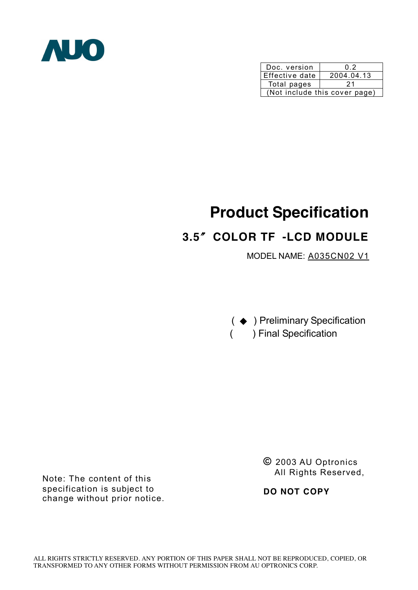

| Doc. version                  | ი 2        |  |  |  |
|-------------------------------|------------|--|--|--|
| Effective date                | 2004.04.13 |  |  |  |
| Total pages                   | 21         |  |  |  |
| (Not include this cover page) |            |  |  |  |

# **Product Specification**

# **3.5**〞**COLOR TF -LCD MODULE**

MODEL NAME: A035CN02 V1

( ◆ ) Preliminary Specification ( ) Final Specification

Note: The content of this specification is subject to change without prior notice. **©** 2003 AU Optronics All Rights Reserved,

**DO NOT COPY**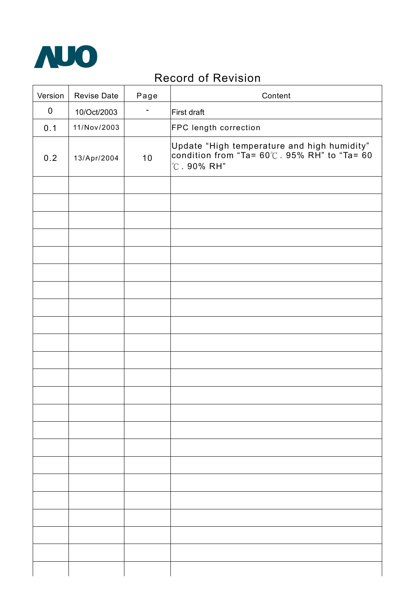

# Record of Revision

| Version   | <b>Revise Date</b> | Page | Content                                                                                                                                 |
|-----------|--------------------|------|-----------------------------------------------------------------------------------------------------------------------------------------|
| $\pmb{0}$ | 10/Oct/2003        | -    | First draft                                                                                                                             |
| 0.1       | 11/Nov/2003        |      | FPC length correction                                                                                                                   |
| 0.2       | 13/Apr/2004        | 10   | Update "High temperature and high humidity"<br>condition from "Ta= $60^{\circ}$ . 95% RH" to "Ta= $60^{\circ}$<br>$^{\circ}$ C. 90% RH" |
|           |                    |      |                                                                                                                                         |
|           |                    |      |                                                                                                                                         |
|           |                    |      |                                                                                                                                         |
|           |                    |      |                                                                                                                                         |
|           |                    |      |                                                                                                                                         |
|           |                    |      |                                                                                                                                         |
|           |                    |      |                                                                                                                                         |
|           |                    |      |                                                                                                                                         |
|           |                    |      |                                                                                                                                         |
|           |                    |      |                                                                                                                                         |
|           |                    |      |                                                                                                                                         |
|           |                    |      |                                                                                                                                         |
|           |                    |      |                                                                                                                                         |
|           |                    |      |                                                                                                                                         |
|           |                    |      |                                                                                                                                         |
|           |                    |      |                                                                                                                                         |
|           |                    |      |                                                                                                                                         |
|           |                    |      |                                                                                                                                         |
|           |                    |      |                                                                                                                                         |
|           |                    |      |                                                                                                                                         |
|           |                    |      |                                                                                                                                         |
|           |                    |      |                                                                                                                                         |
|           |                    |      |                                                                                                                                         |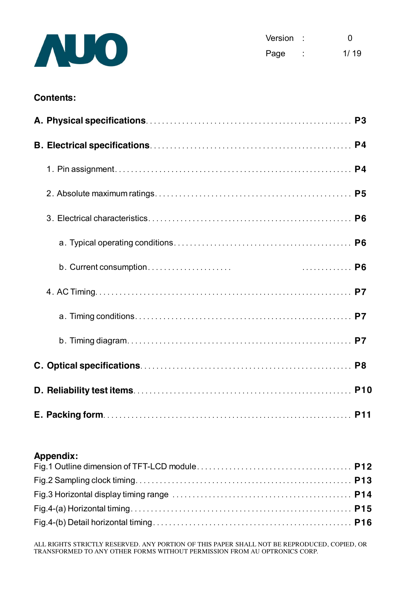

#### **Contents:**

#### **Appendix:**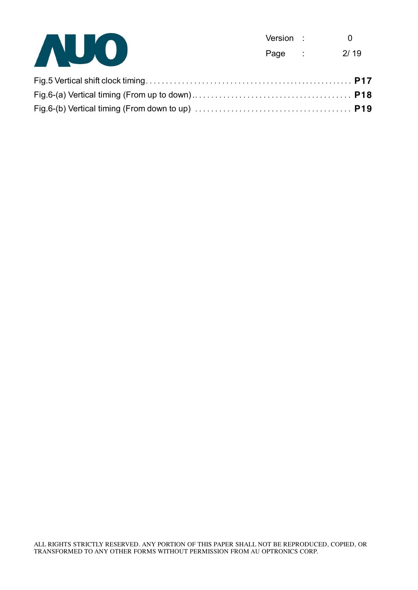

| Version | O    |
|---------|------|
| Page    | 2/19 |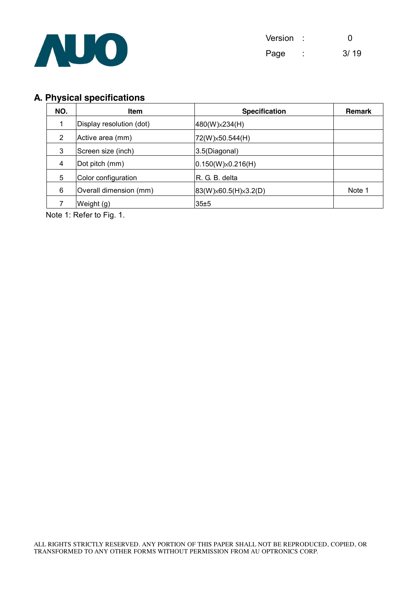

## **A. Physical specifications**

| NO. | <b>Item</b>              | <b>Specification</b>       |        |  |
|-----|--------------------------|----------------------------|--------|--|
| 1   | Display resolution (dot) | 480(W) × 234(H)            |        |  |
| 2   | Active area (mm)         | 72(W) × 50.544(H)          |        |  |
| 3   | Screen size (inch)       | 3.5(Diagonal)              |        |  |
| 4   | Dot pitch (mm)           | $ 0.150(W)\times0.216(H) $ |        |  |
| 5   | Color configuration      | R. G. B. delta             |        |  |
| 6   | Overall dimension (mm)   | 83(W) × 60.5(H) × 3.2(D)   | Note 1 |  |
|     | Weight (g)               | 35±5                       |        |  |

Note 1: Refer to Fig. 1.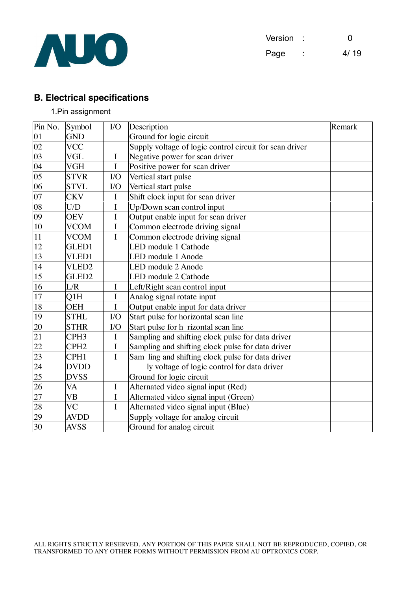

### **B. Electrical specifications**

#### 1.Pin assignment

| Pin No.         | Symbol                 | $IO$        | Description                                             | Remark |
|-----------------|------------------------|-------------|---------------------------------------------------------|--------|
| 01              | <b>GND</b>             |             | Ground for logic circuit                                |        |
| $\overline{02}$ | <b>VCC</b>             |             | Supply voltage of logic control circuit for scan driver |        |
| $\overline{03}$ | <b>VGL</b>             | $\bf{I}$    | Negative power for scan driver                          |        |
| $\overline{04}$ | <b>VGH</b>             | I           | Positive power for scan driver                          |        |
| $\overline{05}$ | <b>STVR</b>            | I/O         | Vertical start pulse                                    |        |
| $\overline{06}$ | <b>STVL</b>            | $1/O$       | Vertical start pulse                                    |        |
| $\overline{07}$ | <b>CKV</b>             | I           | Shift clock input for scan driver                       |        |
| 08              | U/D                    | $\bf I$     | Up/Down scan control input                              |        |
| $\overline{09}$ | <b>OEV</b>             | I           | Output enable input for scan driver                     |        |
| $\overline{10}$ | <b>VCOM</b>            | $\bf I$     | Common electrode driving signal                         |        |
| $\overline{11}$ | <b>VCOM</b>            | I           | Common electrode driving signal                         |        |
| 12              | GLED1                  |             | LED module 1 Cathode                                    |        |
| 13              | VLED1                  |             | LED module 1 Anode                                      |        |
| 14              | VLED <sub>2</sub>      |             | LED module 2 Anode                                      |        |
| $\overline{15}$ | GLED <sub>2</sub>      |             | LED module 2 Cathode                                    |        |
| $\overline{16}$ | L/R                    | I           | Left/Right scan control input                           |        |
| $17\,$          | Q1H                    | $\bf I$     | Analog signal rotate input                              |        |
| 18              | <b>OEH</b>             | I           | Output enable input for data driver                     |        |
| $\overline{19}$ | <b>STHL</b>            | $IO$        | Start pulse for horizontal scan line                    |        |
| 20              | <b>STHR</b>            | I/O         | Start pulse for h rizontal scan line                    |        |
| 21              | CPH <sub>3</sub>       | $\mathbf I$ | Sampling and shifting clock pulse for data driver       |        |
| 22              | CPH <sub>2</sub>       | I           | Sampling and shifting clock pulse for data driver       |        |
| 23              | CPH1                   | I           | Sam ling and shifting clock pulse for data driver       |        |
| 24              | <b>DVDD</b>            |             | ly voltage of logic control for data driver             |        |
| 25              | <b>DVSS</b>            |             | Ground for logic circuit                                |        |
| 26              | VA                     | $\bf I$     | Alternated video signal input (Red)                     |        |
| 27              | <b>VB</b>              | I           | Alternated video signal input (Green)                   |        |
| 28              | $\overline{\text{VC}}$ | I           | Alternated video signal input (Blue)                    |        |
| 29              | <b>AVDD</b>            |             | Supply voltage for analog circuit                       |        |
| 30              | <b>AVSS</b>            |             | Ground for analog circuit                               |        |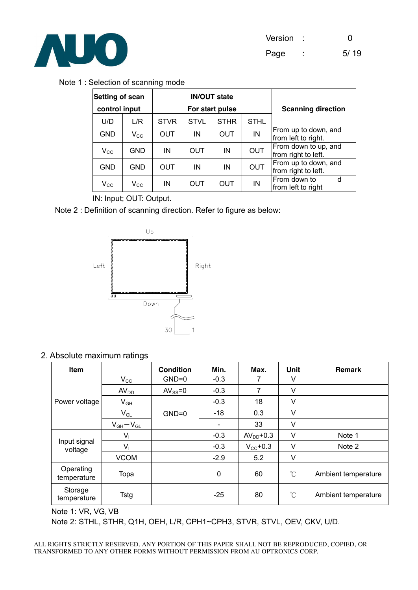

Note 1 : Selection of scanning mode

| Setting of scan<br>control input |                            |             |             | <b>IN/OUT state</b><br>For start pulse | <b>Scanning direction</b> |                                             |
|----------------------------------|----------------------------|-------------|-------------|----------------------------------------|---------------------------|---------------------------------------------|
| U/D                              | L/R                        | <b>STVR</b> | <b>STVL</b> | <b>STHR</b>                            | <b>STHL</b>               |                                             |
| GND                              | $V_{\rm CC}$               | OUT         | IN          | <b>OUT</b>                             | IN                        | From up to down, and<br>from left to right. |
| $V_{\rm CC}$                     | <b>GND</b>                 | IN          | OUT         | IN                                     | <b>OUT</b>                | From down to up, and<br>from right to left. |
| GND                              | <b>GND</b>                 | OUT         | IN          | IN                                     | <b>OUT</b>                | From up to down, and<br>from right to left. |
| $V_{\rm CC}$                     | $\mathsf{V}_{\mathsf{CC}}$ | IN          | OUT         | OUT                                    | IN                        | From down to<br>d<br>from left to right     |

IN: Input; OUT: Output.

Note 2 : Definition of scanning direction. Refer to figure as below:



2. Absolute maximum ratings

| <b>Item</b>              |                            | <b>Condition</b> | Min.                         | Max.                 | Unit                 | Remark              |
|--------------------------|----------------------------|------------------|------------------------------|----------------------|----------------------|---------------------|
|                          | $V_{\rm CC}$               | $GND=0$          | $-0.3$                       | 7                    | V                    |                     |
|                          | AV <sub>DD</sub>           | $AV_{SS} = 0$    | $-0.3$                       | 7                    | V                    |                     |
| Power voltage            | $V_{GH}$                   |                  | $-0.3$                       | 18                   | V                    |                     |
|                          | $\mathsf{V}_{\mathsf{GL}}$ | $GND=0$          | $-18$                        | 0.3                  | V                    |                     |
|                          | $V_{GH}-V_{GL}$            |                  | $\qquad \qquad \blacksquare$ | 33                   | V                    |                     |
|                          | $V_i$                      |                  | $-0.3$                       | $AVDD+0.3$           | V                    | Note 1              |
| Input signal<br>voltage  | $V_{1}$                    |                  | $-0.3$                       | $V_{\text{CC}}$ +0.3 | $\vee$               | Note 2              |
|                          | <b>VCOM</b>                |                  | $-2.9$                       | 5.2                  | $\vee$               |                     |
| Operating<br>temperature | Topa                       |                  | $\mathbf 0$                  | 60                   | $\mathrm{C}^{\circ}$ | Ambient temperature |
| Storage<br>temperature   | Tstg                       |                  | $-25$                        | 80                   | $\mathrm{C}^{\circ}$ | Ambient temperature |

Note 1: VR, VG, VB

Note 2: STHL, STHR, Q1H, OEH, L/R, CPH1~CPH3, STVR, STVL, OEV, CKV, U/D.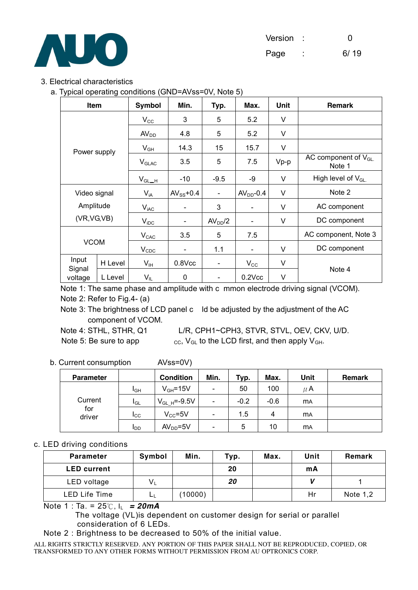

| Version | ∩             |  |
|---------|---------------|--|
|         | $\sim$ $\sim$ |  |

Page : 6/19

#### 3. Electrical characteristics

a. Typical operating conditions (GND=AVss=0V, Note 5)

| Item              |         | <b>Symbol</b>    | Min.                     | Typ.                         | Max.                     | <b>Unit</b> | Remark                             |
|-------------------|---------|------------------|--------------------------|------------------------------|--------------------------|-------------|------------------------------------|
|                   |         | $V_{\rm CC}$     | 3                        | 5                            | 5.2                      | V           |                                    |
|                   |         | AV <sub>DD</sub> | 4.8                      | 5                            | 5.2                      | $\vee$      |                                    |
|                   |         | $V_{GH}$         | 14.3                     | 15                           | 15.7                     | V           |                                    |
| Power supply      |         | $V_{GLAC}$       | 3.5                      | 5                            | 7.5                      | $Vp-p$      | AC component of $V_{GL}$<br>Note 1 |
|                   |         |                  | $-10$                    | $-9.5$                       | -9                       | V           | High level of V <sub>GL.</sub>     |
| Video signal      |         | $V_{iA}$         | $AV_{SS}$ +0.4           | $\blacksquare$               | $AVDD-0.4$               | $\vee$      | Note 2                             |
| Amplitude         |         | $V_{iAC}$        |                          | 3                            |                          | V           | AC component                       |
| (VR, VG, VB)      |         | $V_{IDC}$        | $\overline{\phantom{a}}$ | AV <sub>DD</sub> /2          | $\overline{\phantom{a}}$ | V           | DC component                       |
| <b>VCOM</b>       |         | $V_{\text{CAC}}$ | 3.5                      | 5                            | 7.5                      |             | AC component, Note 3               |
|                   |         | $V_{CDC}$        | $\overline{\phantom{a}}$ | 1.1                          | $\overline{\phantom{a}}$ | V           | DC component                       |
| Input             | H Level | $V_{IH}$         | $0.8$ Vcc                | $\qquad \qquad \blacksquare$ | $V_{\rm CC}$             | V           |                                    |
| Signal<br>voltage | L Level | $V_{IL}$         | 0                        | $\overline{\phantom{0}}$     | $0.2$ $Vcc$              | V           | Note 4                             |

Note 1: The same phase and amplitude with c mmon electrode driving signal (VCOM). Note 2: Refer to Fig.4- (a)

Note 3: The brightness of LCD panel c ld be adjusted by the adjustment of the AC component of VCOM.

Note 4: STHL, STHR, Q1 L/R, CPH1~CPH3, STVR, STVL, OEV, CKV, U/D. Note 5: Be sure to app  $_{\rm CC}$ , V<sub>GL</sub> to the LCD first, and then apply V<sub>GH</sub>.

#### b. Current consumption AVss=0V)

| <b>Parameter</b> |          | <b>Condition</b>   | Min.                         | Typ.   | Max.   | Unit      | Remark |
|------------------|----------|--------------------|------------------------------|--------|--------|-----------|--------|
|                  | IGН      | $V_{GH} = 15V$     | $\overline{\phantom{a}}$     | 50     | 100    | $\mu$ A   |        |
| Current          | $I_{GL}$ | $V_{GL H} = -9.5V$ | $\overline{\phantom{a}}$     | $-0.2$ | $-0.6$ | <b>MA</b> |        |
| for<br>driver    | Icc      | $V_{CC} = 5V$      | $\qquad \qquad$              | 1.5    | 4      | <b>MA</b> |        |
|                  | l DD     | $AVDD=5V$          | $\qquad \qquad \blacksquare$ | 5      | 10     | <b>MA</b> |        |

#### c. LED driving conditions

| <b>Parameter</b>   | Symbol  | Min.    | Typ. | Max. | Unit | Remark     |
|--------------------|---------|---------|------|------|------|------------|
| <b>LED current</b> |         |         | 20   |      | mA   |            |
| LED voltage        | $V_{L}$ |         | 20   |      |      |            |
| LED Life Time      | ட       | (10000) |      |      | Hr   | Note $1,2$ |

Note 1 : Ta. = 25℃, IL *= 20mA* 

The voltage (VL)is dependent on customer design for serial or parallel consideration of 6 LEDs.

Note 2 : Brightness to be decreased to 50% of the initial value.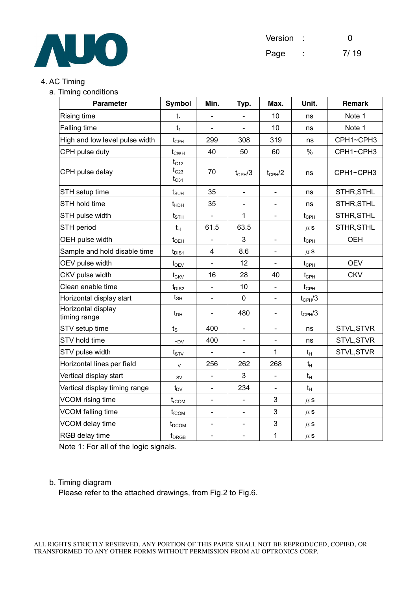

#### 4. AC Timing

a. Timing conditions

| <b>Parameter</b>                   | <b>Symbol</b>                       | Min.                     | Typ.                         | Max.                         | Unit.                         | <b>Remark</b> |
|------------------------------------|-------------------------------------|--------------------------|------------------------------|------------------------------|-------------------------------|---------------|
| Rising time                        | $t_{r}$                             | $\blacksquare$           |                              | 10                           | ns                            | Note 1        |
| Falling time                       | $t_f$                               |                          |                              | 10                           | ns                            | Note 1        |
| High and low level pulse width     | $t_{\text{CPH}}$                    | 299                      | 308                          | 319                          | ns                            | CPH1~CPH3     |
| CPH pulse duty                     | $t_{\text{CWH}}$                    | 40                       | 50                           | 60                           | %                             | CPH1~CPH3     |
| CPH pulse delay                    | $t_{C12}$<br>$t_{C23}$<br>$t_{C31}$ | 70                       | $t_{\text{CPH}}/3$           | $t_{\text{CPH}}/2$           | ns                            | CPH1~CPH3     |
| STH setup time                     | $t_{\scriptstyle\text{SUH}}$        | 35                       | $\blacksquare$               |                              | ns                            | STHR, STHL    |
| STH hold time                      | $t_{HDH}$                           | 35                       | $\qquad \qquad \blacksquare$ | $\qquad \qquad \blacksquare$ | ns                            | STHR, STHL    |
| STH pulse width                    | $t_{\scriptstyle\text{STH}}$        |                          | 1                            |                              | $t_{\text{CPH}}$              | STHR, STHL    |
| STH period                         | $t_{H}$                             | 61.5                     | 63.5                         |                              | $\mu$ S                       | STHR, STHL    |
| OEH pulse width                    | $t_{\text{OEH}}$                    |                          | 3                            | $\overline{\phantom{a}}$     | $t_{\text{CPH}}$              | <b>OEH</b>    |
| Sample and hold disable time       | $t_{\text{DIS1}}$                   | $\overline{4}$           | 8.6                          |                              | $\mu$ s                       |               |
| OEV pulse width                    | $t_{\rm OEV}$                       | $\overline{a}$           | 12                           |                              | $t_{\scriptscriptstyle{CPH}}$ | <b>OEV</b>    |
| CKV pulse width                    | $t_{CKV}$                           | 16                       | 28                           | 40                           | $t_{\scriptscriptstyle{CPH}}$ | <b>CKV</b>    |
| Clean enable time                  | $t_{DIS2}$                          | $\overline{\phantom{0}}$ | 10                           | $\overline{\phantom{0}}$     | $t_{\text{CPH}}$              |               |
| Horizontal display start           | $t_{\sf SH}$                        | $\overline{a}$           | $\pmb{0}$                    |                              | $t_{CPH}$ /3                  |               |
| Horizontal display<br>timing range | $t_{DH}$                            |                          | 480                          | $\overline{\phantom{0}}$     | $t_{\text{CPH}}/3$            |               |
| STV setup time                     | $t_{\rm S}$                         | 400                      | $\blacksquare$               | $\qquad \qquad \blacksquare$ | ns                            | STVL, STVR    |
| STV hold time                      | <b>HDV</b>                          | 400                      |                              |                              | ns                            | STVL, STVR    |
| STV pulse width                    | $t_{STV}$                           |                          |                              | 1                            | $t_{H}$                       | STVL, STVR    |
| Horizontal lines per field         | $\mathsf{V}$                        | 256                      | 262                          | 268                          | $t_H$                         |               |
| Vertical display start             | <b>SV</b>                           | $\blacksquare$           | 3                            | $\blacksquare$               | $t_H$                         |               |
| Vertical display timing range      | $t_{\rm DV}$                        | $\blacksquare$           | 234                          | $\frac{1}{2}$                | $t_H$                         |               |
| VCOM rising time                   | $t_{\text{rCOM}}$                   | $\blacksquare$           | $\blacksquare$               | 3                            | $\mu$ s                       |               |
| VCOM falling time                  | $t_{fCOM}$                          | $\overline{\phantom{0}}$ | $\blacksquare$               | 3                            | $\mu$ S                       |               |
| VCOM delay time                    | $t_{DCOM}$                          | $\overline{\phantom{0}}$ |                              | 3                            | $\mu$ S                       |               |
| RGB delay time                     | t <sub>DRGB</sub>                   | $\overline{\phantom{0}}$ | $\blacksquare$               | $\mathbf{1}$                 | $\mu$ S                       |               |

Note 1: For all of the logic signals.

#### b. Timing diagram

Please refer to the attached drawings, from Fig.2 to Fig.6.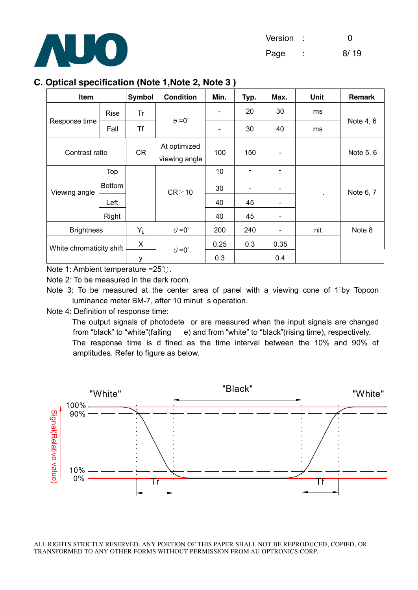

### **C. Optical specification (Note 1,Note 2, Note 3 )**

| Item                     |               | Symbol    | <b>Condition</b>              | Min.                     | Typ.                     | Max. | Unit      | Remark    |
|--------------------------|---------------|-----------|-------------------------------|--------------------------|--------------------------|------|-----------|-----------|
|                          | <b>Rise</b>   | Tr        |                               | $\overline{\phantom{a}}$ | 20                       | 30   | ms        |           |
| Response time            | Fall          | <b>Tf</b> | $\theta = 0^{\circ}$          | $\overline{\phantom{a}}$ | 30                       | 40   | ms        | Note 4, 6 |
| Contrast ratio           |               | CR        | At optimized<br>viewing angle | 100                      | 150                      |      |           | Note 5, 6 |
|                          | Top           |           |                               | 10                       |                          |      |           |           |
| Viewing angle            | <b>Bottom</b> |           | $CR \ge 10$                   | 30                       | $\overline{\phantom{a}}$ |      |           | Note 6, 7 |
|                          | Left          |           |                               | 40                       | 45                       |      | $\bullet$ |           |
|                          | Right         |           |                               | 40                       | 45                       |      |           |           |
| <b>Brightness</b>        |               | $Y_L$     | $\theta = 0^{\circ}$          | 200                      | 240                      |      | nit       | Note 8    |
| White chromaticity shift |               | X         | $\theta = 0^{\circ}$          | 0.25                     | 0.3                      | 0.35 |           |           |
|                          |               | у         |                               | 0.3                      |                          | 0.4  |           |           |

Note 1: Ambient temperature =25℃.

Note 2: To be measured in the dark room.

Note 3: To be measured at the center area of panel with a viewing cone of 1°by Topcon luminance meter BM-7, after 10 minut s operation.

Note 4: Definition of response time:

The output signals of photodete or are measured when the input signals are changed from "black" to "white"(falling e) and from "white" to "black"(rising time), respectively. The response time is d fined as the time interval between the 10% and 90% of amplitudes. Refer to figure as below.

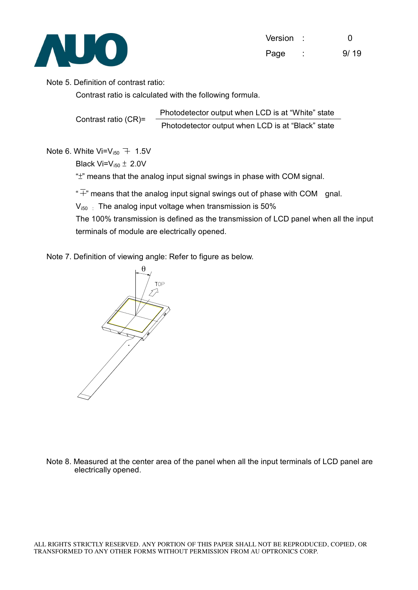

| Version | 0    |
|---------|------|
| Page    | 9/19 |

#### Note 5. Definition of contrast ratio:

Contrast ratio is calculated with the following formula.

Contrast ratio (CR)= Photodetector output when LCD is at "White" state Photodetector output when LCD is at "Black" state

#### Note 6. White Vi= $V_{150}$  + 1.5V

Black Vi= $V_{150} \pm 2.0V$ 

"±" means that the analog input signal swings in phase with COM signal.

" $\overline{+}$ " means that the analog input signal swings out of phase with COM gnal.

 $V_{i50}$ : The analog input voltage when transmission is 50%

The 100% transmission is defined as the transmission of LCD panel when all the input terminals of module are electrically opened.

Note 7. Definition of viewing angle: Refer to figure as below.



Note 8. Measured at the center area of the panel when all the input terminals of LCD panel are electrically opened.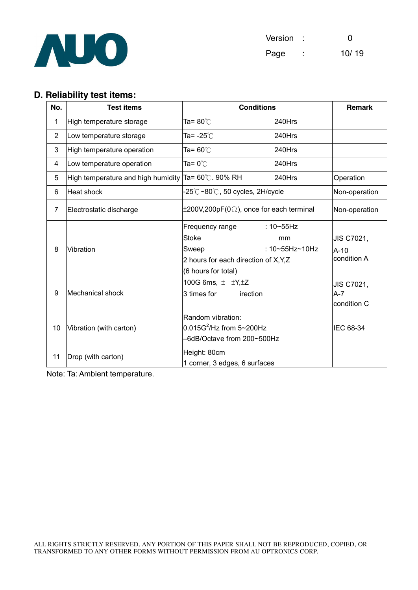

#### **D. Reliability test items:**

| No.            | <b>Test items</b>                  | <b>Conditions</b>                                                                                                                                     | Remark                              |
|----------------|------------------------------------|-------------------------------------------------------------------------------------------------------------------------------------------------------|-------------------------------------|
| 1              | High temperature storage           | Ta= 80℃<br>240Hrs                                                                                                                                     |                                     |
| $\overline{2}$ | Low temperature storage            | Ta= -25℃<br>240Hrs                                                                                                                                    |                                     |
| 3              | High temperature operation         | Ta= $60^{\circ}$ C<br>240Hrs                                                                                                                          |                                     |
| 4              | Low temperature operation          | Ta= $0^{\circ}$ C<br>240Hrs                                                                                                                           |                                     |
| 5              | High temperature and high humidity | Ta= 60℃. 90% RH<br>240Hrs                                                                                                                             | Operation                           |
| 6              | <b>Heat shock</b>                  | $-25^{\circ}\text{C}\sim80^{\circ}\text{C}$ , 50 cycles, 2H/cycle                                                                                     | Non-operation                       |
| 7              | Electrostatic discharge            | $\pm 200V, 200pF(0\Omega)$ , once for each terminal                                                                                                   | Non-operation                       |
| 8              | Vibration                          | Frequency range<br>: $10 \sim 55$ Hz<br><b>Stoke</b><br>mm<br>: 10~55Hz~10Hz<br>Sweep<br>2 hours for each direction of X, Y, Z<br>(6 hours for total) | JIS C7021,<br>$A-10$<br>condition A |
| 9              | Mechanical shock                   | 100G 6ms, $\pm$ $\pm$ Y, $\pm$ Z<br>3 times for<br>irection                                                                                           | JIS C7021,<br>A-7<br>condition C    |
| 10             | Vibration (with carton)            | Random vibration:<br>$0.015G^2$ /Hz from 5~200Hz<br>-6dB/Octave from 200~500Hz                                                                        | IEC 68-34                           |
| 11             | Drop (with carton)                 | Height: 80cm<br>1 corner, 3 edges, 6 surfaces                                                                                                         |                                     |

Note: Ta: Ambient temperature.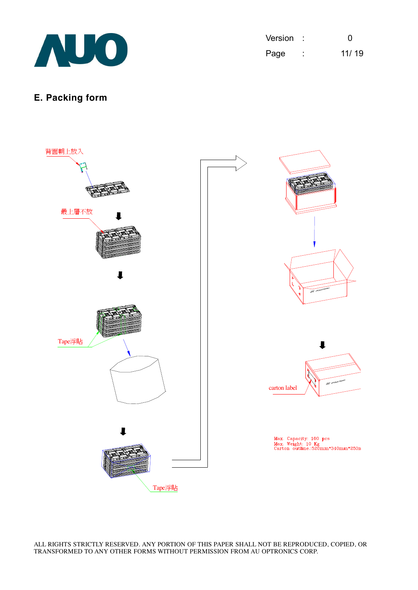

| Version |        | O     |
|---------|--------|-------|
| Page    | ٠<br>٠ | 11/19 |

# **E. Packing form**

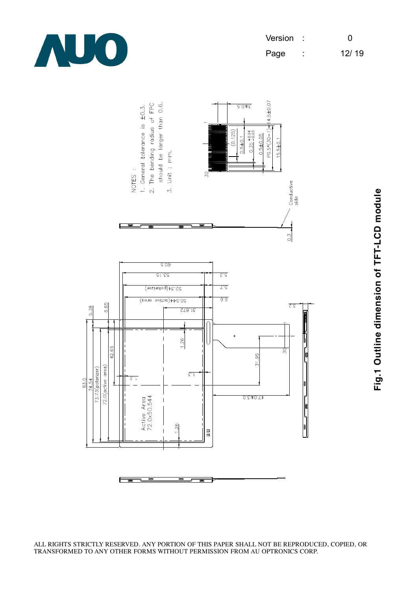

| Version |        | O     |
|---------|--------|-------|
| Page    | ٠<br>٠ | 12/19 |



E  $\equiv$  **Fig.1 O utlin e dim e n sio n of T F T-L**  $\mathbf C$ **D m o d ule**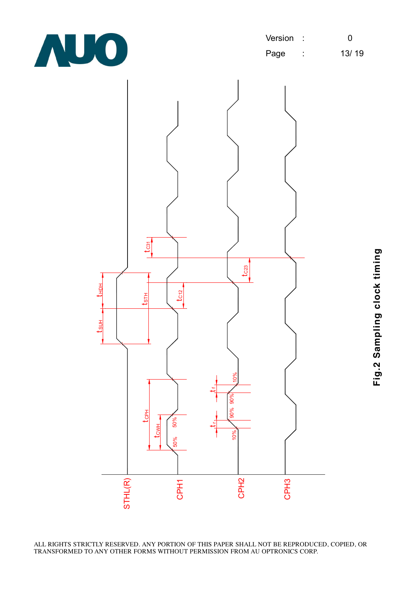

| Version : |   | O     |
|-----------|---|-------|
| Page      | ٠ | 13/19 |

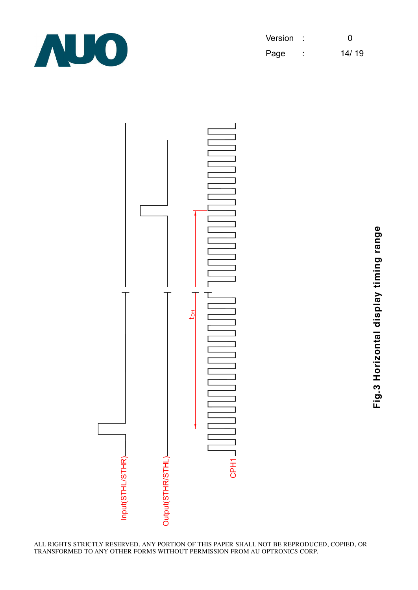

| Version |        | 0     |
|---------|--------|-------|
| Page    | ٠<br>٠ | 14/19 |



**Fig.3 H oriz o ntal dis pla y timin g ra n g**

**e**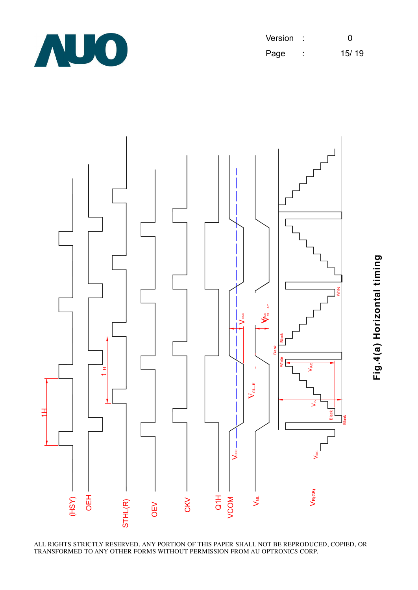

Version : 0 Page : 15/ 19



**Fig.4(a) H oriz o ntal timin g**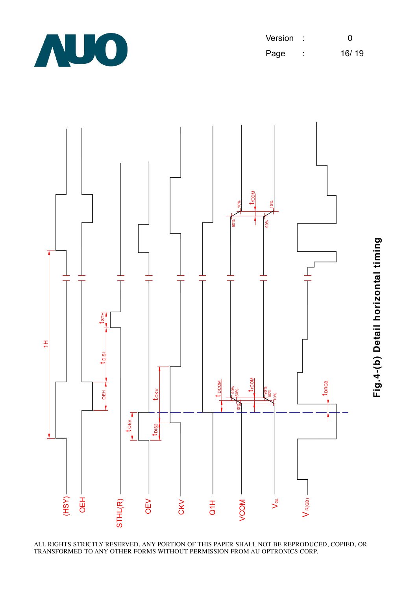

Version : 0 Page : 16/ 19

**Fig.4-(b) D**

**etail h**

**oriz o**

**ntal timin**

**g**

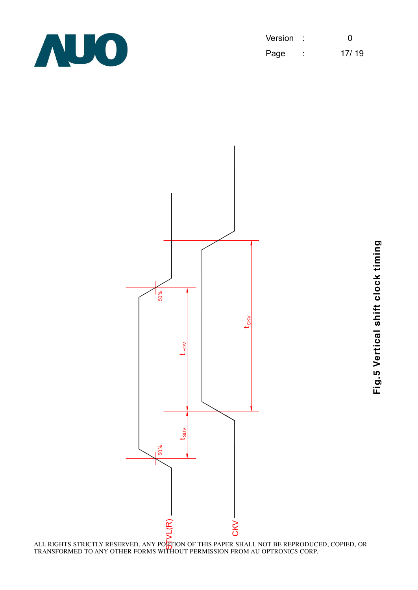

| Version |        | O     |
|---------|--------|-------|
| Page    | ٠<br>٠ | 17/19 |



**Fig.5**  $\geq$ **ertic al s hift clo c k timin**

**g**

ALL RIGHTS STRICTLY RESERVED. ANY PO<mark>R</mark>TION OF THIS PAPER SHALL NOT BE REPRODUCED, COPIED, OR<br>TRANSFORMED TO ANY OTHER FORMS WITHOUT PERMISSION FROM AU OPTRONICS CORP.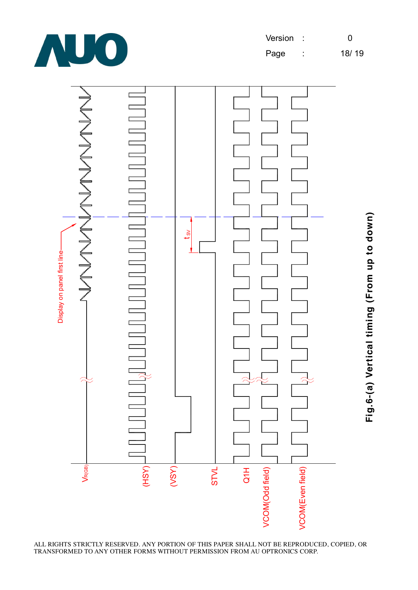



ALL RIGHTS STRICTLY RESERVED. ANY PORTION OF THIS PAPER SHALL NOT BE REPRODUCED, COPIED, OR TRANSFORMED TO ANY OTHER FORMS WITHOUT PERMISSION FROM AU OPTRONICS CORP.

**Fig.6-(a) V ertic al timin g (Fro m u p to d o w n)**